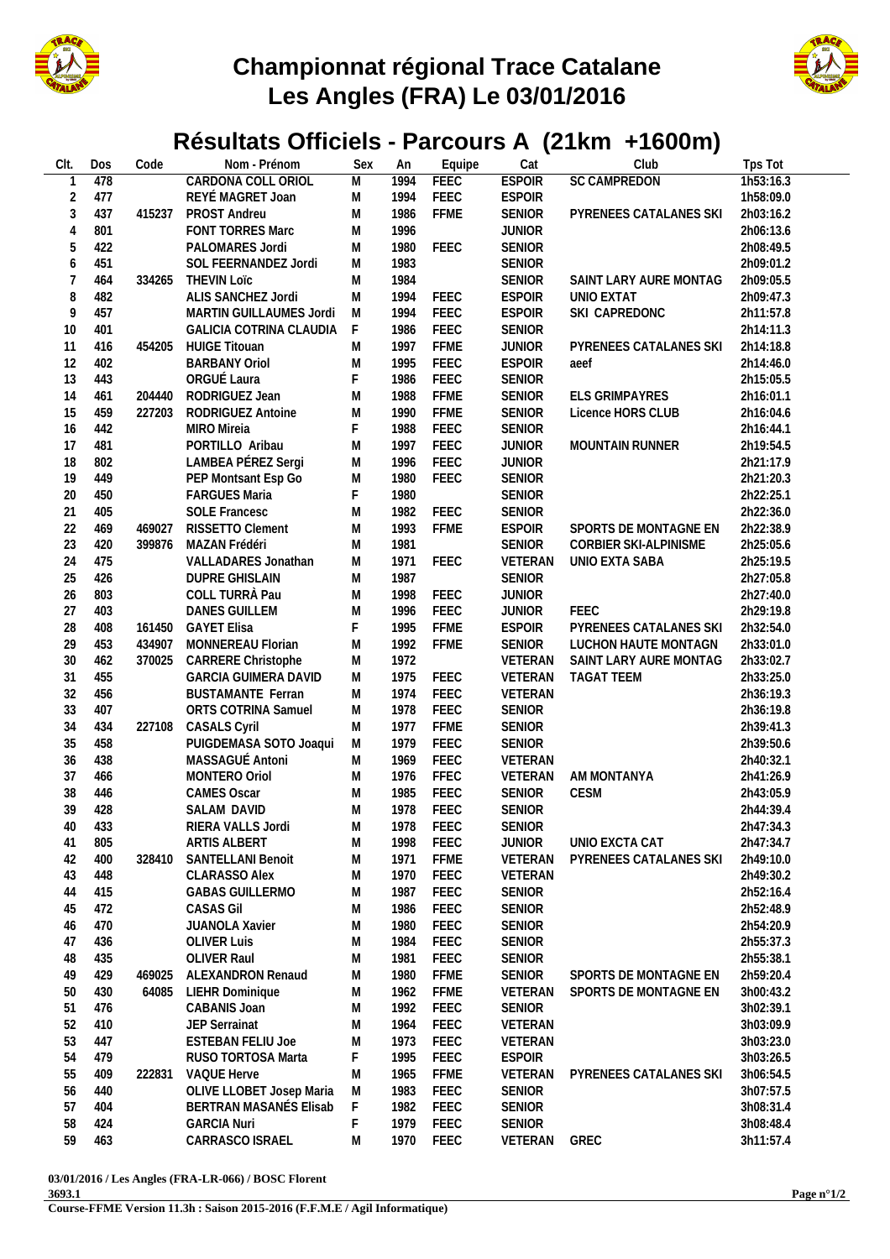

## **Championnat régional Trace Catalane Les Angles (FRA) Le 03/01/2016**



## **Résultats Officiels - Parcours A (21km +1600m)**

| CIt.   | Dos | Code   | Nom - Prénom                | Sex         | An   | Equipe      | Cat           | Club                   | Tps Tot   |
|--------|-----|--------|-----------------------------|-------------|------|-------------|---------------|------------------------|-----------|
|        | 478 |        | CARDONA COLL ORIOL          | M           | 1994 | <b>FEEC</b> | <b>ESPOIR</b> | <b>SC CAMPREDON</b>    | 1h53:16.3 |
| 2      | 477 |        | REYÉ MAGRET Joan            | M           | 1994 | FEEC        | <b>ESPOIR</b> |                        | 1h58:09.0 |
| 3      | 437 | 415237 | PROST Andreu                | ${\sf M}$   | 1986 | <b>FFME</b> | <b>SENIOR</b> | PYRENEES CATALANES SKI | 2h03:16.2 |
| 4      | 801 |        | FONT TORRES Marc            | ${\sf M}$   | 1996 |             | <b>JUNIOR</b> |                        | 2h06:13.6 |
| 5      | 422 |        | PALOMARES Jordi             | ${\sf M}$   | 1980 | FEEC        | <b>SENIOR</b> |                        | 2h08:49.5 |
| 6      | 451 |        | SOL FEERNANDEZ Jordi        | M           | 1983 |             | <b>SENIOR</b> |                        | 2h09:01.2 |
| 7      | 464 | 334265 | <b>THEVIN LOTC</b>          | M           | 1984 |             | <b>SENIOR</b> | SAINT LARY AURE MONTAG | 2h09:05.5 |
| 8      | 482 |        | ALIS SANCHEZ Jordi          | M           | 1994 | FEEC        | <b>ESPOIR</b> | UNIO EXTAT             | 2h09:47.3 |
| 9      | 457 |        | MARTIN GUILLAUMES Jordi     | M           | 1994 | FEEC        | <b>ESPOIR</b> | SKI CAPREDONC          | 2h11:57.8 |
| 10     | 401 |        | GALICIA COTRINA CLAUDIA     | F           | 1986 | FEEC        | <b>SENIOR</b> |                        | 2h14:11.3 |
| 11     | 416 | 454205 | <b>HUIGE Titouan</b>        | M           | 1997 | <b>FFME</b> | <b>JUNIOR</b> | PYRENEES CATALANES SKI | 2h14:18.8 |
|        |     |        |                             |             |      |             |               |                        |           |
| 12     | 402 |        | <b>BARBANY Oriol</b>        | M           | 1995 | FEEC        | <b>ESPOIR</b> | aeef                   | 2h14:46.0 |
| 13     | 443 |        | ORGUÉ Laura                 | F           | 1986 | FEEC        | <b>SENIOR</b> |                        | 2h15:05.5 |
| 14     | 461 | 204440 | RODRIGUEZ Jean              | M           | 1988 | <b>FFME</b> | <b>SENIOR</b> | <b>ELS GRIMPAYRES</b>  | 2h16:01.1 |
| 15     | 459 | 227203 | RODRIGUEZ Antoine           | ${\sf M}$   | 1990 | <b>FFME</b> | <b>SENIOR</b> | Licence HORS CLUB      | 2h16:04.6 |
| 16     | 442 |        | MIRO Mireia                 | $\mathsf F$ | 1988 | FEEC        | <b>SENIOR</b> |                        | 2h16:44.1 |
| 17     | 481 |        | PORTILLO Aribau             | ${\sf M}$   | 1997 | FEEC        | <b>JUNIOR</b> | <b>MOUNTAIN RUNNER</b> | 2h19:54.5 |
| 18     | 802 |        | LAMBEA PÉREZ Sergi          | ${\sf M}$   | 1996 | FEEC        | <b>JUNIOR</b> |                        | 2h21:17.9 |
| 19     | 449 |        | PEP Montsant Esp Go         | M           | 1980 | FEEC        | <b>SENIOR</b> |                        | 2h21:20.3 |
| 20     | 450 |        | <b>FARGUES Maria</b>        | F           | 1980 |             | <b>SENIOR</b> |                        | 2h22:25.1 |
| 21     | 405 |        | <b>SOLE Francesc</b>        | M           | 1982 | FEEC        | <b>SENIOR</b> |                        | 2h22:36.0 |
| 22     | 469 | 469027 | RISSETTO Clement            | M           | 1993 | <b>FFME</b> | <b>ESPOIR</b> | SPORTS DE MONTAGNE EN  | 2h22:38.9 |
| 23     | 420 | 399876 | MAZAN Frédéri               | M           | 1981 |             | <b>SENIOR</b> | CORBIER SKI-ALPINISME  | 2h25:05.6 |
| 24     | 475 |        | VALLADARES Jonathan         | M           | 1971 | FEEC        | VETERAN       | UNIO EXTA SABA         | 2h25:19.5 |
| 25     | 426 |        | <b>DUPRE GHISLAIN</b>       | M           | 1987 |             | <b>SENIOR</b> |                        | 2h27:05.8 |
|        |     |        | COLL TURRÀ Pau              |             |      | FEEC        |               |                        |           |
| 26     | 803 |        |                             | M           | 1998 |             | <b>JUNIOR</b> |                        | 2h27:40.0 |
| 27     | 403 |        | <b>DANES GUILLEM</b>        | M           | 1996 | FEEC        | <b>JUNIOR</b> | <b>FEEC</b>            | 2h29:19.8 |
| 28     | 408 | 161450 | <b>GAYET Elisa</b>          | $\mathsf F$ | 1995 | <b>FFME</b> | <b>ESPOIR</b> | PYRENEES CATALANES SKI | 2h32:54.0 |
| 29     | 453 | 434907 | MONNEREAU Florian           | ${\sf M}$   | 1992 | <b>FFME</b> | <b>SENIOR</b> | LUCHON HAUTE MONTAGN   | 2h33:01.0 |
| $30\,$ | 462 | 370025 | CARRERE Christophe          | ${\sf M}$   | 1972 |             | VETERAN       | SAINT LARY AURE MONTAG | 2h33:02.7 |
| 31     | 455 |        | <b>GARCIA GUIMERA DAVID</b> | ${\sf M}$   | 1975 | FEEC        | VETERAN       | <b>TAGAT TEEM</b>      | 2h33:25.0 |
| 32     | 456 |        | <b>BUSTAMANTE Ferran</b>    | M           | 1974 | FEEC        | VETERAN       |                        | 2h36:19.3 |
| 33     | 407 |        | ORTS COTRINA Samuel         | M           | 1978 | FEEC        | <b>SENIOR</b> |                        | 2h36:19.8 |
| 34     | 434 | 227108 | <b>CASALS Cyril</b>         | M           | 1977 | <b>FFME</b> | <b>SENIOR</b> |                        | 2h39:41.3 |
| 35     | 458 |        | PUIGDEMASA SOTO Joaqui      | M           | 1979 | FEEC        | <b>SENIOR</b> |                        | 2h39:50.6 |
| 36     | 438 |        | MASSAGUÉ Antoni             | ${\sf M}$   | 1969 | FEEC        | VETERAN       |                        | 2h40:32.1 |
| 37     | 466 |        | MONTERO Oriol               | ${\sf M}$   | 1976 | FFEC        | VETERAN       | AM MONTANYA            | 2h41:26.9 |
| 38     | 446 |        | <b>CAMES Oscar</b>          | M           | 1985 | FEEC        | <b>SENIOR</b> | CESM                   | 2h43:05.9 |
| 39     | 428 |        | SALAM DAVID                 | M           | 1978 | FEEC        | <b>SENIOR</b> |                        | 2h44:39.4 |
|        |     |        |                             |             |      |             |               |                        |           |
| 40     | 433 |        | RIERA VALLS Jordi           | M           | 1978 | <b>FEEC</b> | SENIOR        |                        | 2h47:34.3 |
| 41     | 805 |        | ARTIS ALBERT                | M           | 1998 | FEEC        | <b>JUNIOR</b> | UNIO EXCTA CAT         | 2h47:34.7 |
| 42     | 400 | 328410 | SANTELLANI Benoit           | M           | 1971 | <b>FFME</b> | VETERAN       | PYRENEES CATALANES SKI | 2h49:10.0 |
| 43     | 448 |        | <b>CLARASSO Alex</b>        | ${\sf M}$   | 1970 | FEEC        | VETERAN       |                        | 2h49:30.2 |
| 44     | 415 |        | <b>GABAS GUILLERMO</b>      | M           | 1987 | FEEC        | <b>SENIOR</b> |                        | 2h52:16.4 |
| 45     | 472 |        | <b>CASAS Gil</b>            | M           | 1986 | FEEC        | <b>SENIOR</b> |                        | 2h52:48.9 |
| 46     | 470 |        | <b>JUANOLA Xavier</b>       | M           | 1980 | FEEC        | <b>SENIOR</b> |                        | 2h54:20.9 |
| 47     | 436 |        | <b>OLIVER Luis</b>          | M           | 1984 | FEEC        | <b>SENIOR</b> |                        | 2h55:37.3 |
| 48     | 435 |        | OLIVER Raul                 | M           | 1981 | FEEC        | <b>SENIOR</b> |                        | 2h55:38.1 |
| 49     | 429 | 469025 | ALEXANDRON Renaud           | ${\sf M}$   | 1980 | FFME        | <b>SENIOR</b> | SPORTS DE MONTAGNE EN  | 2h59:20.4 |
| 50     | 430 | 64085  | LIEHR Dominique             | M           | 1962 | <b>FFME</b> | VETERAN       | SPORTS DE MONTAGNE EN  | 3h00:43.2 |
| 51     | 476 |        | CABANIS Joan                | M           | 1992 | FEEC        | <b>SENIOR</b> |                        | 3h02:39.1 |
| 52     | 410 |        | JEP Serrainat               | M           | 1964 | FEEC        | VETERAN       |                        | 3h03:09.9 |
|        |     |        |                             |             |      |             |               |                        |           |
| 53     | 447 |        | <b>ESTEBAN FELIU Joe</b>    | M           | 1973 | FEEC        | VETERAN       |                        | 3h03:23.0 |
| 54     | 479 |        | RUSO TORTOSA Marta          | F           | 1995 | FEEC        | <b>ESPOIR</b> |                        | 3h03:26.5 |
| 55     | 409 | 222831 | VAQUE Herve                 | M           | 1965 | <b>FFME</b> | VETERAN       | PYRENEES CATALANES SKI | 3h06:54.5 |
| 56     | 440 |        | OLIVE LLOBET Josep Maria    | M           | 1983 | FEEC        | <b>SENIOR</b> |                        | 3h07:57.5 |
| 57     | 404 |        | BERTRAN MASANÉS Elisab      | $\mathsf F$ | 1982 | FEEC        | <b>SENIOR</b> |                        | 3h08:31.4 |
| 58     | 424 |        | <b>GARCIA Nuri</b>          | F           | 1979 | FEEC        | <b>SENIOR</b> |                        | 3h08:48.4 |
| 59     | 463 |        | CARRASCO ISRAEL             | Μ           | 1970 | FEEC        | VETERAN       | GREC                   | 3h11:57.4 |
|        |     |        |                             |             |      |             |               |                        |           |

**03/01/2016 / Les Angles (FRA-LR-066) / BOSC Florent**

**3693.1**